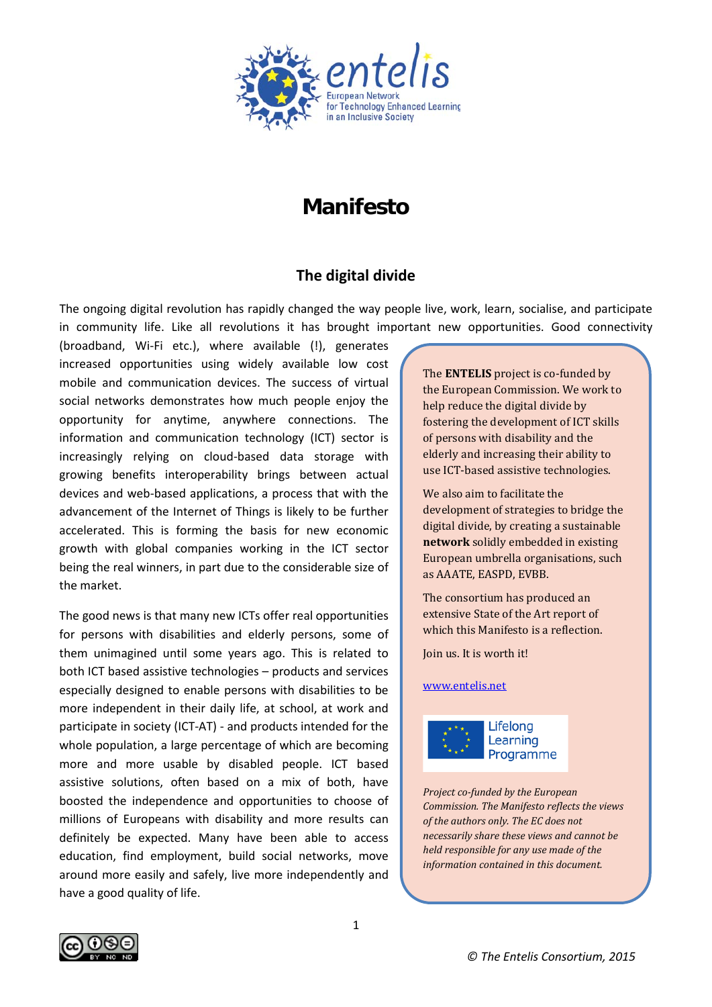

# **Manifesto**

# **The digital divide**

The ongoing digital revolution has rapidly changed the way people live, work, learn, socialise, and participate in community life. Like all revolutions it has brought important new opportunities. Good connectivity

(broadband, Wi-Fi etc.), where available (!), generates increased opportunities using widely available low cost mobile and communication devices. The success of virtual social networks demonstrates how much people enjoy the opportunity for anytime, anywhere connections. The information and communication technology (ICT) sector is increasingly relying on cloud-based data storage with growing benefits interoperability brings between actual devices and web-based applications, a process that with the advancement of the Internet of Things is likely to be further accelerated. This is forming the basis for new economic growth with global companies working in the ICT sector being the real winners, in part due to the considerable size of the market.

The good news is that many new ICTs offer real opportunities for persons with disabilities and elderly persons, some of them unimagined until some years ago. This is related to both ICT based assistive technologies – products and services especially designed to enable persons with disabilities to be more independent in their daily life, at school, at work and participate in society (ICT-AT) - and products intended for the whole population, a large percentage of which are becoming more and more usable by disabled people. ICT based assistive solutions, often based on a mix of both, have boosted the independence and opportunities to choose of millions of Europeans with disability and more results can definitely be expected. Many have been able to access education, find employment, build social networks, move around more easily and safely, live more independently and have a good quality of life.

The **ENTELIS** project is co-funded by the European Commission. We work to help reduce the digital divide by fostering the development of ICT skills of persons with disability and the elderly and increasing their ability to use ICT-based assistive technologies.

We also aim to facilitate the development of strategies to bridge the digital divide, by creating a sustainable **network** solidly embedded in existing European umbrella organisations, such as AAATE, EASPD, EVBB.

The consortium has produced an extensive State of the Art report of which this Manifesto is a reflection.

Join us. It is worth it!

#### [www.entelis.net](http://www.entelis.net/)



*Project co-funded by the European Commission. The Manifesto reflects the views of the authors only. The EC does not necessarily share these views and cannot be held responsible for any use made of the information contained in this document.* 

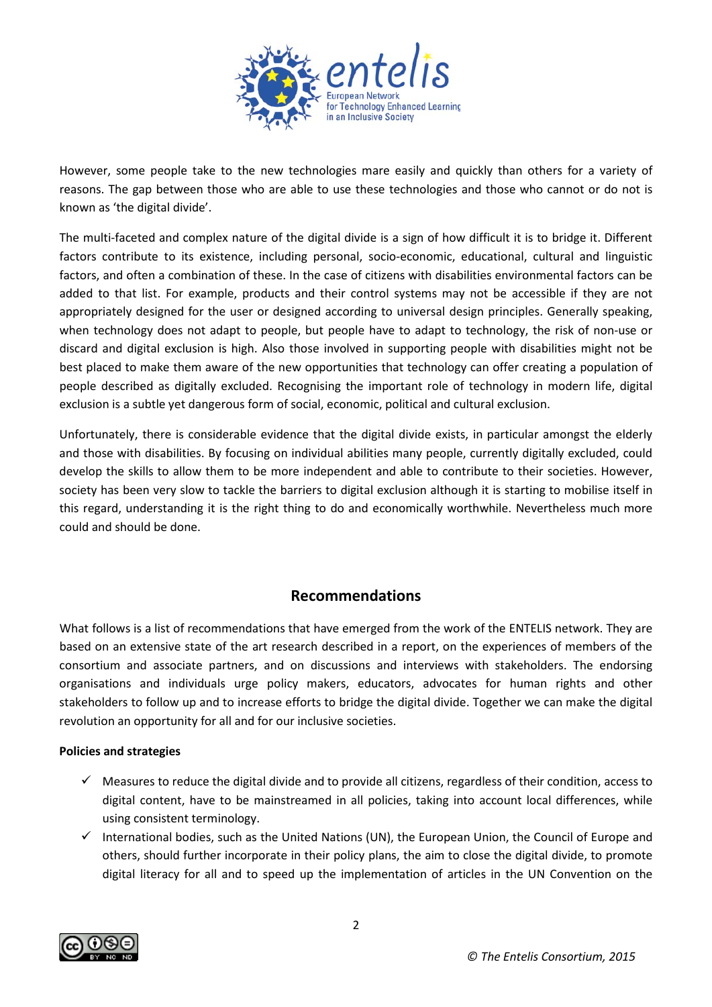

However, some people take to the new technologies mare easily and quickly than others for a variety of reasons. The gap between those who are able to use these technologies and those who cannot or do not is known as 'the digital divide'.

The multi-faceted and complex nature of the digital divide is a sign of how difficult it is to bridge it. Different factors contribute to its existence, including personal, socio-economic, educational, cultural and linguistic factors, and often a combination of these. In the case of citizens with disabilities environmental factors can be added to that list. For example, products and their control systems may not be accessible if they are not appropriately designed for the user or designed according to universal design principles. Generally speaking, when technology does not adapt to people, but people have to adapt to technology, the risk of non-use or discard and digital exclusion is high. Also those involved in supporting people with disabilities might not be best placed to make them aware of the new opportunities that technology can offer creating a population of people described as digitally excluded. Recognising the important role of technology in modern life, digital exclusion is a subtle yet dangerous form of social, economic, political and cultural exclusion.

Unfortunately, there is considerable evidence that the digital divide exists, in particular amongst the elderly and those with disabilities. By focusing on individual abilities many people, currently digitally excluded, could develop the skills to allow them to be more independent and able to contribute to their societies. However, society has been very slow to tackle the barriers to digital exclusion although it is starting to mobilise itself in this regard, understanding it is the right thing to do and economically worthwhile. Nevertheless much more could and should be done.

## **Recommendations**

What follows is a list of recommendations that have emerged from the work of the ENTELIS network. They are based on an extensive state of the art research described in a report, on the experiences of members of the consortium and associate partners, and on discussions and interviews with stakeholders. The endorsing organisations and individuals urge policy makers, educators, advocates for human rights and other stakeholders to follow up and to increase efforts to bridge the digital divide. Together we can make the digital revolution an opportunity for all and for our inclusive societies.

## **Policies and strategies**

- $\checkmark$  Measures to reduce the digital divide and to provide all citizens, regardless of their condition, access to digital content, have to be mainstreamed in all policies, taking into account local differences, while using consistent terminology.
- International bodies, such as the United Nations (UN), the European Union, the Council of Europe and others, should further incorporate in their policy plans, the aim to close the digital divide, to promote digital literacy for all and to speed up the implementation of articles in the UN Convention on the

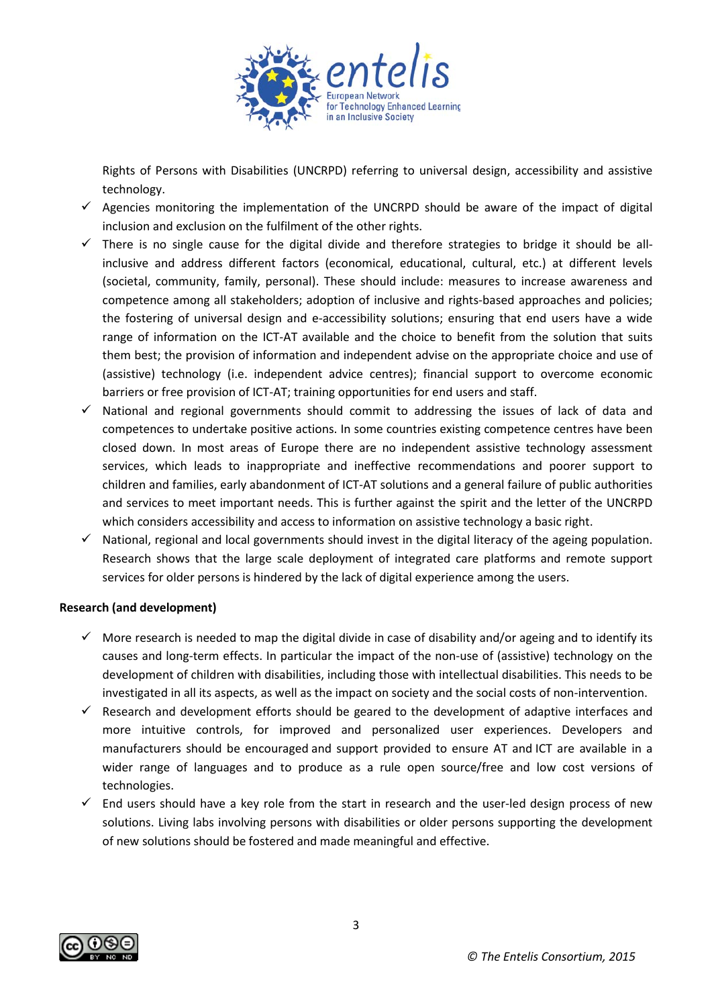

Rights of Persons with Disabilities (UNCRPD) referring to universal design, accessibility and assistive technology.

- $\checkmark$  Agencies monitoring the implementation of the UNCRPD should be aware of the impact of digital inclusion and exclusion on the fulfilment of the other rights.
- $\checkmark$  There is no single cause for the digital divide and therefore strategies to bridge it should be allinclusive and address different factors (economical, educational, cultural, etc.) at different levels (societal, community, family, personal). These should include: measures to increase awareness and competence among all stakeholders; adoption of inclusive and rights-based approaches and policies; the fostering of universal design and e-accessibility solutions; ensuring that end users have a wide range of information on the ICT-AT available and the choice to benefit from the solution that suits them best; the provision of information and independent advise on the appropriate choice and use of (assistive) technology (i.e. independent advice centres); financial support to overcome economic barriers or free provision of ICT-AT; training opportunities for end users and staff.
- $\checkmark$  National and regional governments should commit to addressing the issues of lack of data and competences to undertake positive actions. In some countries existing competence centres have been closed down. In most areas of Europe there are no independent assistive technology assessment services, which leads to inappropriate and ineffective recommendations and poorer support to children and families, early abandonment of ICT-AT solutions and a general failure of public authorities and services to meet important needs. This is further against the spirit and the letter of the UNCRPD which considers accessibility and access to information on assistive technology a basic right.
- $\checkmark$  National, regional and local governments should invest in the digital literacy of the ageing population. Research shows that the large scale deployment of integrated care platforms and remote support services for older persons is hindered by the lack of digital experience among the users.

#### **Research (and development)**

- $\checkmark$  More research is needed to map the digital divide in case of disability and/or ageing and to identify its causes and long-term effects. In particular the impact of the non-use of (assistive) technology on the development of children with disabilities, including those with intellectual disabilities. This needs to be investigated in all its aspects, as well as the impact on society and the social costs of non-intervention.
- $\checkmark$  Research and development efforts should be geared to the development of adaptive interfaces and more intuitive controls, for improved and personalized user experiences. Developers and manufacturers should be encouraged and support provided to ensure AT and ICT are available in a wider range of languages and to produce as a rule open source/free and low cost versions of technologies.
- $\checkmark$  End users should have a key role from the start in research and the user-led design process of new solutions. Living labs involving persons with disabilities or older persons supporting the development of new solutions should be fostered and made meaningful and effective.

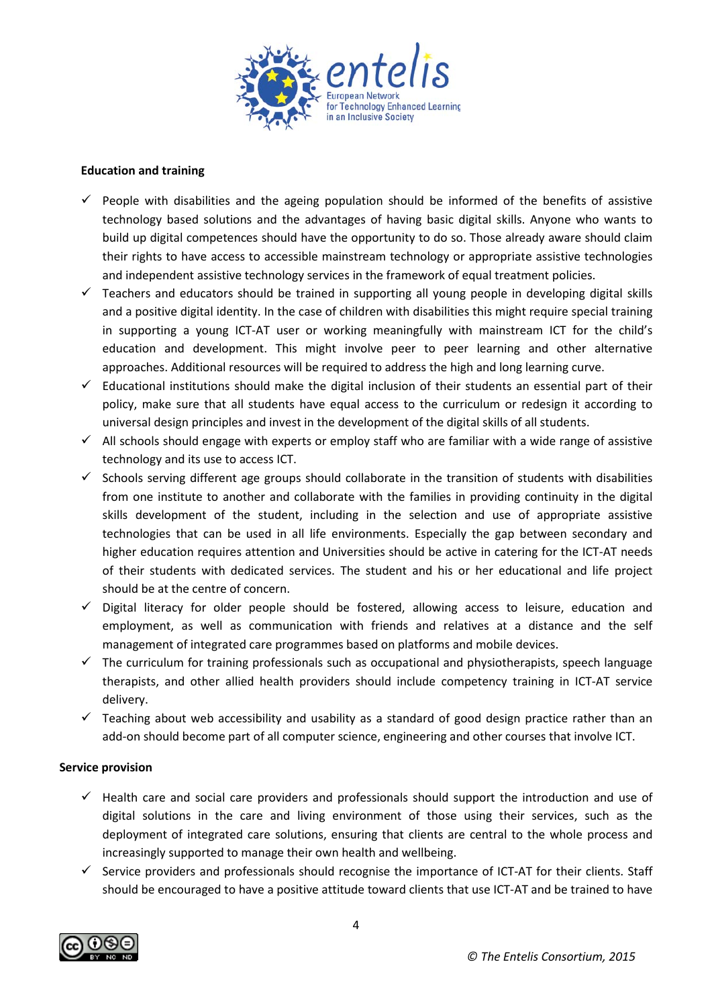

#### **Education and training**

- People with disabilities and the ageing population should be informed of the benefits of assistive technology based solutions and the advantages of having basic digital skills. Anyone who wants to build up digital competences should have the opportunity to do so. Those already aware should claim their rights to have access to accessible mainstream technology or appropriate assistive technologies and independent assistive technology services in the framework of equal treatment policies.
- $\checkmark$  Teachers and educators should be trained in supporting all young people in developing digital skills and a positive digital identity. In the case of children with disabilities this might require special training in supporting a young ICT-AT user or working meaningfully with mainstream ICT for the child's education and development. This might involve peer to peer learning and other alternative approaches. Additional resources will be required to address the high and long learning curve.
- $\checkmark$  Educational institutions should make the digital inclusion of their students an essential part of their policy, make sure that all students have equal access to the curriculum or redesign it according to universal design principles and invest in the development of the digital skills of all students.
- $\checkmark$  All schools should engage with experts or employ staff who are familiar with a wide range of assistive technology and its use to access ICT.
- $\checkmark$  Schools serving different age groups should collaborate in the transition of students with disabilities from one institute to another and collaborate with the families in providing continuity in the digital skills development of the student, including in the selection and use of appropriate assistive technologies that can be used in all life environments. Especially the gap between secondary and higher education requires attention and Universities should be active in catering for the ICT-AT needs of their students with dedicated services. The student and his or her educational and life project should be at the centre of concern.
- $\checkmark$  Digital literacy for older people should be fostered, allowing access to leisure, education and employment, as well as communication with friends and relatives at a distance and the self management of integrated care programmes based on platforms and mobile devices.
- $\checkmark$  The curriculum for training professionals such as occupational and physiotherapists, speech language therapists, and other allied health providers should include competency training in ICT-AT service delivery.
- $\checkmark$  Teaching about web accessibility and usability as a standard of good design practice rather than an add-on should become part of all computer science, engineering and other courses that involve ICT.

#### **Service provision**

- $\checkmark$  Health care and social care providers and professionals should support the introduction and use of digital solutions in the care and living environment of those using their services, such as the deployment of integrated care solutions, ensuring that clients are central to the whole process and increasingly supported to manage their own health and wellbeing.
- $\checkmark$  Service providers and professionals should recognise the importance of ICT-AT for their clients. Staff should be encouraged to have a positive attitude toward clients that use ICT-AT and be trained to have

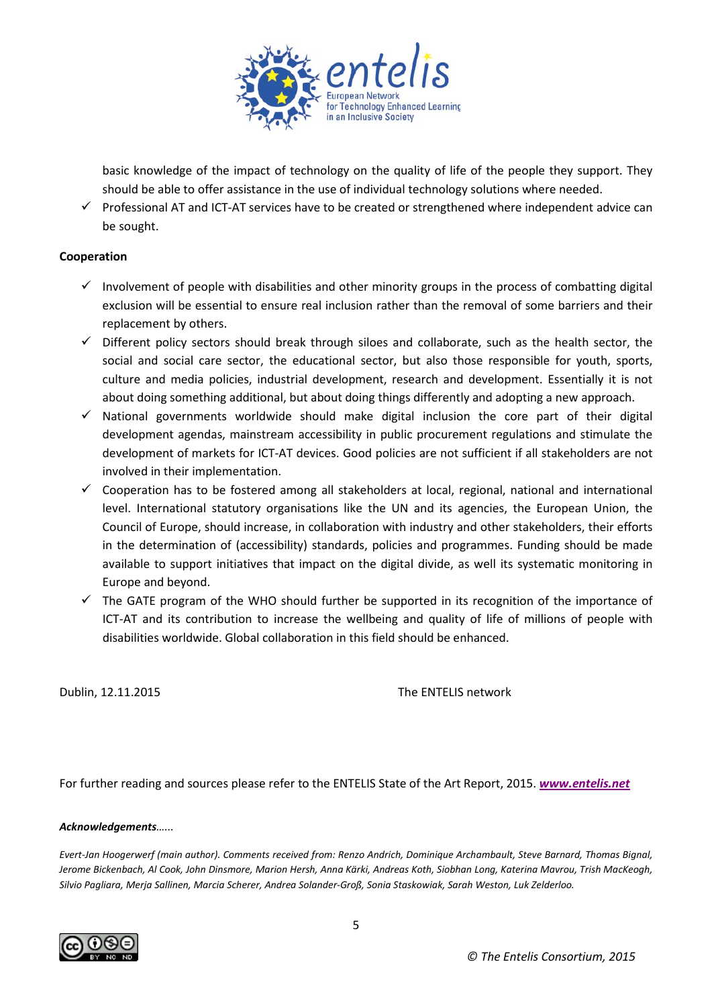

basic knowledge of the impact of technology on the quality of life of the people they support. They should be able to offer assistance in the use of individual technology solutions where needed.

 $\checkmark$  Professional AT and ICT-AT services have to be created or strengthened where independent advice can be sought.

### **Cooperation**

- $\checkmark$  Involvement of people with disabilities and other minority groups in the process of combatting digital exclusion will be essential to ensure real inclusion rather than the removal of some barriers and their replacement by others.
- $\checkmark$  Different policy sectors should break through siloes and collaborate, such as the health sector, the social and social care sector, the educational sector, but also those responsible for youth, sports, culture and media policies, industrial development, research and development. Essentially it is not about doing something additional, but about doing things differently and adopting a new approach.
- $\checkmark$  National governments worldwide should make digital inclusion the core part of their digital development agendas, mainstream accessibility in public procurement regulations and stimulate the development of markets for ICT-AT devices. Good policies are not sufficient if all stakeholders are not involved in their implementation.
- $\checkmark$  Cooperation has to be fostered among all stakeholders at local, regional, national and international level. International statutory organisations like the UN and its agencies, the European Union, the Council of Europe, should increase, in collaboration with industry and other stakeholders, their efforts in the determination of (accessibility) standards, policies and programmes. Funding should be made available to support initiatives that impact on the digital divide, as well its systematic monitoring in Europe and beyond.
- $\checkmark$  The GATE program of the WHO should further be supported in its recognition of the importance of ICT-AT and its contribution to increase the wellbeing and quality of life of millions of people with disabilities worldwide. Global collaboration in this field should be enhanced.

Dublin, 12.11.2015 The ENTELIS network

For further reading and sources please refer to the ENTELIS State of the Art Report, 2015. *[www.entelis.net](http://www.entelis.net/)*

#### *Acknowledgements…...*

*Evert-Jan Hoogerwerf (main author). Comments received from: Renzo Andrich, Dominique Archambault, Steve Barnard, Thomas Bignal, Jerome Bickenbach, Al Cook, John Dinsmore, Marion Hersh, Anna Kärki, Andreas Koth, Siobhan Long, Katerina Mavrou, Trish MacKeogh, Silvio Pagliara, Merja Sallinen, Marcia Scherer, Andrea Solander-Groß, Sonia Staskowiak, Sarah Weston, Luk Zelderloo.*